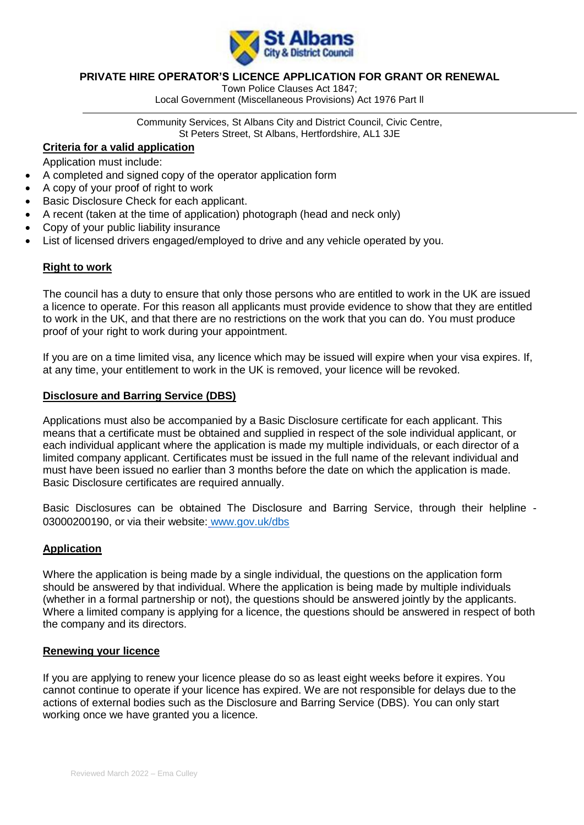

# **PRIVATE HIRE OPERATOR'S LICENCE APPLICATION FOR GRANT OR RENEWAL**

Town Police Clauses Act 1847;

Local Government (Miscellaneous Provisions) Act 1976 Part ll

Community Services, St Albans City and District Council, Civic Centre, St Peters Street, St Albans, Hertfordshire, AL1 3JE

# **Criteria for a valid application**

Application must include:

- A completed and signed copy of the operator application form
- A copy of your proof of right to work
- Basic Disclosure Check for each applicant.
- A recent (taken at the time of application) photograph (head and neck only)
- Copy of your public liability insurance
- List of licensed drivers engaged/employed to drive and any vehicle operated by you.

## **Right to work**

The council has a duty to ensure that only those persons who are entitled to work in the UK are issued a licence to operate. For this reason all applicants must provide evidence to show that they are entitled to work in the UK, and that there are no restrictions on the work that you can do. You must produce proof of your right to work during your appointment.

If you are on a time limited visa, any licence which may be issued will expire when your visa expires. If, at any time, your entitlement to work in the UK is removed, your licence will be revoked.

## **Disclosure and Barring Service (DBS)**

Applications must also be accompanied by a Basic Disclosure certificate for each applicant. This means that a certificate must be obtained and supplied in respect of the sole individual applicant, or each individual applicant where the application is made my multiple individuals, or each director of a limited company applicant. Certificates must be issued in the full name of the relevant individual and must have been issued no earlier than 3 months before the date on which the application is made. Basic Disclosure certificates are required annually.

Basic Disclosures can be obtained The Disclosure and Barring Service, through their helpline - 03000200190, or via their website: [www.gov.uk/dbs](http://www.gov.uk/dbs)

## **Application**

Where the application is being made by a single individual, the questions on the application form should be answered by that individual. Where the application is being made by multiple individuals (whether in a formal partnership or not), the questions should be answered jointly by the applicants. Where a limited company is applying for a licence, the questions should be answered in respect of both the company and its directors.

## **Renewing your licence**

If you are applying to renew your licence please do so as least eight weeks before it expires. You cannot continue to operate if your licence has expired. We are not responsible for delays due to the actions of external bodies such as the Disclosure and Barring Service (DBS). You can only start working once we have granted you a licence.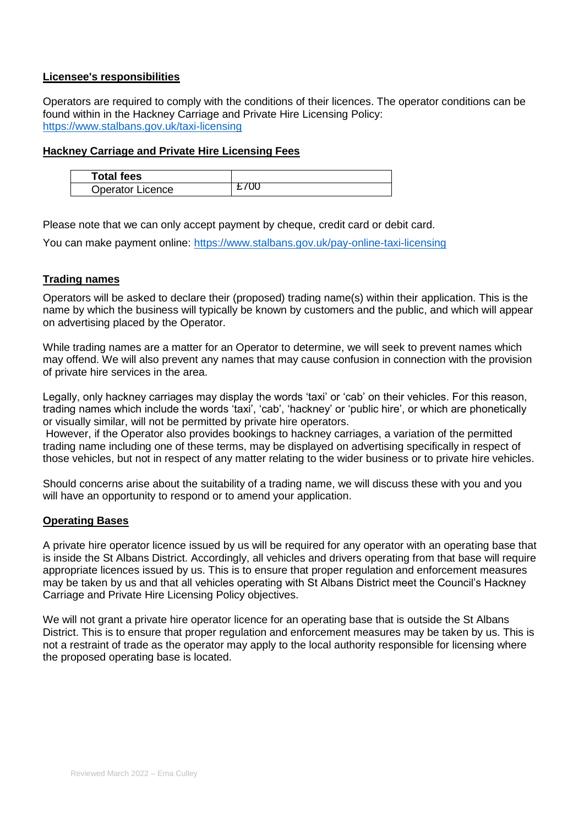# **Licensee's responsibilities**

Operators are required to comply with the conditions of their licences. The operator conditions can be found within in the Hackney Carriage and Private Hire Licensing Policy: https://www.stalbans.gov.uk/taxi-licensing

## **Hackney Carriage and Private Hire Licensing Fees**

| <b>Total fees</b>       |  |
|-------------------------|--|
| <b>Operator Licence</b> |  |

Please note that we can only accept payment by cheque, credit card or debit card.

You can make payment online:<https://www.stalbans.gov.uk/pay-online-taxi-licensing>

# **Trading names**

Operators will be asked to declare their (proposed) trading name(s) within their application. This is the name by which the business will typically be known by customers and the public, and which will appear on advertising placed by the Operator.

While trading names are a matter for an Operator to determine, we will seek to prevent names which may offend. We will also prevent any names that may cause confusion in connection with the provision of private hire services in the area.

Legally, only hackney carriages may display the words 'taxi' or 'cab' on their vehicles. For this reason, trading names which include the words 'taxi', 'cab', 'hackney' or 'public hire', or which are phonetically or visually similar, will not be permitted by private hire operators.

However, if the Operator also provides bookings to hackney carriages, a variation of the permitted trading name including one of these terms, may be displayed on advertising specifically in respect of those vehicles, but not in respect of any matter relating to the wider business or to private hire vehicles.

Should concerns arise about the suitability of a trading name, we will discuss these with you and you will have an opportunity to respond or to amend your application.

## **Operating Bases**

A private hire operator licence issued by us will be required for any operator with an operating base that is inside the St Albans District. Accordingly, all vehicles and drivers operating from that base will require appropriate licences issued by us. This is to ensure that proper regulation and enforcement measures may be taken by us and that all vehicles operating with St Albans District meet the Council's Hackney Carriage and Private Hire Licensing Policy objectives.

We will not grant a private hire operator licence for an operating base that is outside the St Albans District. This is to ensure that proper regulation and enforcement measures may be taken by us. This is not a restraint of trade as the operator may apply to the local authority responsible for licensing where the proposed operating base is located.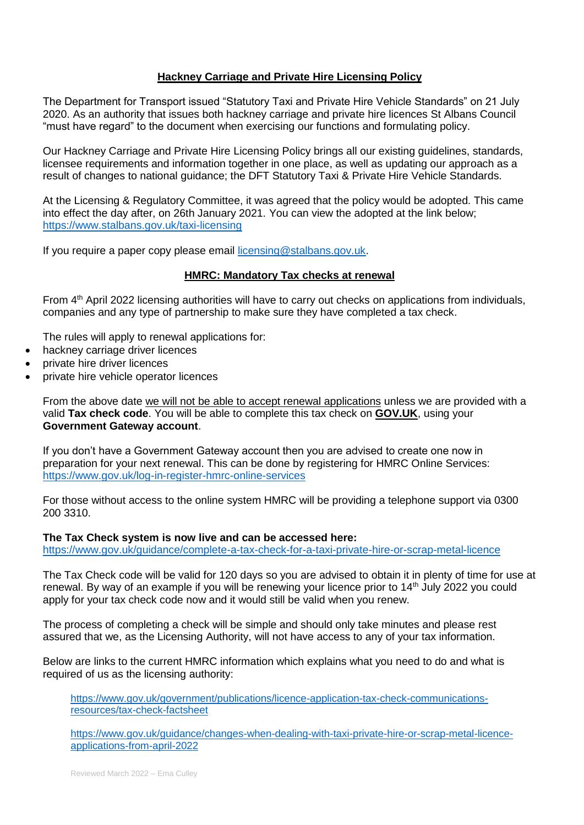# **Hackney Carriage and Private Hire Licensing Policy**

The Department for Transport issued "Statutory Taxi and Private Hire Vehicle Standards" on 21 July 2020. As an authority that issues both hackney carriage and private hire licences St Albans Council "must have regard" to the document when exercising our functions and formulating policy.

Our Hackney Carriage and Private Hire Licensing Policy brings all our existing guidelines, standards, licensee requirements and information together in one place, as well as updating our approach as a result of changes to national guidance; the DFT Statutory Taxi & Private Hire Vehicle Standards.

At the Licensing & Regulatory Committee, it was agreed that the policy would be adopted. This came into effect the day after, on 26th January 2021. You can view the adopted at the link below; https://www.stalbans.gov.uk/taxi-licensing

If you require a paper copy please email [licensing@stalbans.gov.uk.](mailto:licensing@stalbans.gov.uk)

# **HMRC: Mandatory Tax checks at renewal**

From 4<sup>th</sup> April 2022 licensing authorities will have to carry out checks on applications from individuals, companies and any type of partnership to make sure they have completed a tax check.

The rules will apply to renewal applications for:

- hackney carriage driver licences
- private hire driver licences
- private hire vehicle operator licences

From the above date we will not be able to accept renewal applications unless we are provided with a valid **Tax check code**. You will be able to complete this tax check on **GOV.UK**, using your **Government Gateway account**.

If you don't have a Government Gateway account then you are advised to create one now in preparation for your next renewal. This can be done by registering for HMRC Online Services: <https://www.gov.uk/log-in-register-hmrc-online-services>

For those without access to the online system HMRC will be providing a telephone support via 0300 200 3310.

## **The Tax Check system is now live and can be accessed here:**

https://www.gov.uk/guidance/complete-a-tax-check-for-a-taxi-private-hire-or-scrap-metal-licence

The Tax Check code will be valid for 120 days so you are advised to obtain it in plenty of time for use at renewal. By way of an example if you will be renewing your licence prior to 14<sup>th</sup> July 2022 you could apply for your tax check code now and it would still be valid when you renew.

The process of completing a check will be simple and should only take minutes and please rest assured that we, as the Licensing Authority, will not have access to any of your tax information.

Below are links to the current HMRC information which explains what you need to do and what is required of us as the licensing authority:

[https://www.gov.uk/government/publications/licence-application-tax-check-communications](https://www.gov.uk/government/publications/licence-application-tax-check-communications-resources/tax-check-factsheet)[resources/tax-check-factsheet](https://www.gov.uk/government/publications/licence-application-tax-check-communications-resources/tax-check-factsheet)

[https://www.gov.uk/guidance/changes-when-dealing-with-taxi-private-hire-or-scrap-metal-licence](https://www.gov.uk/guidance/changes-when-dealing-with-taxi-private-hire-or-scrap-metal-licence-applications-from-april-2022)[applications-from-april-2022](https://www.gov.uk/guidance/changes-when-dealing-with-taxi-private-hire-or-scrap-metal-licence-applications-from-april-2022)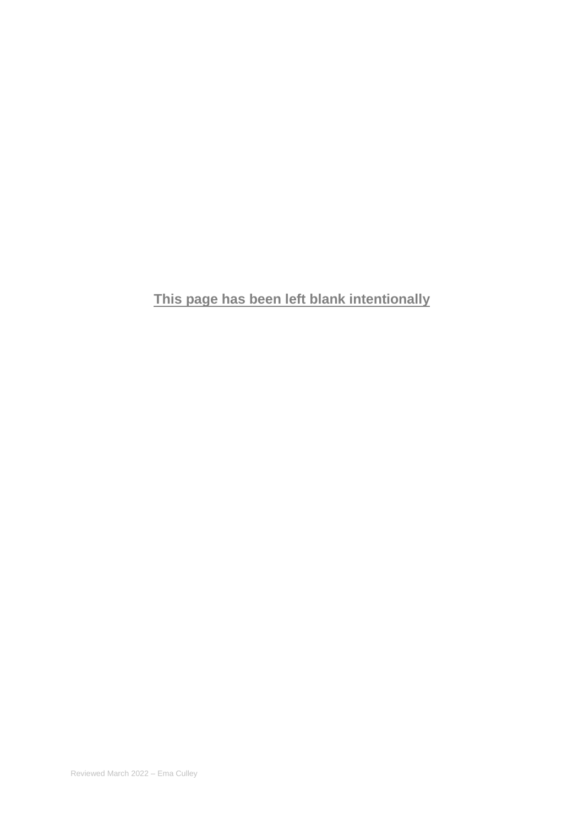**This page has been left blank intentionally**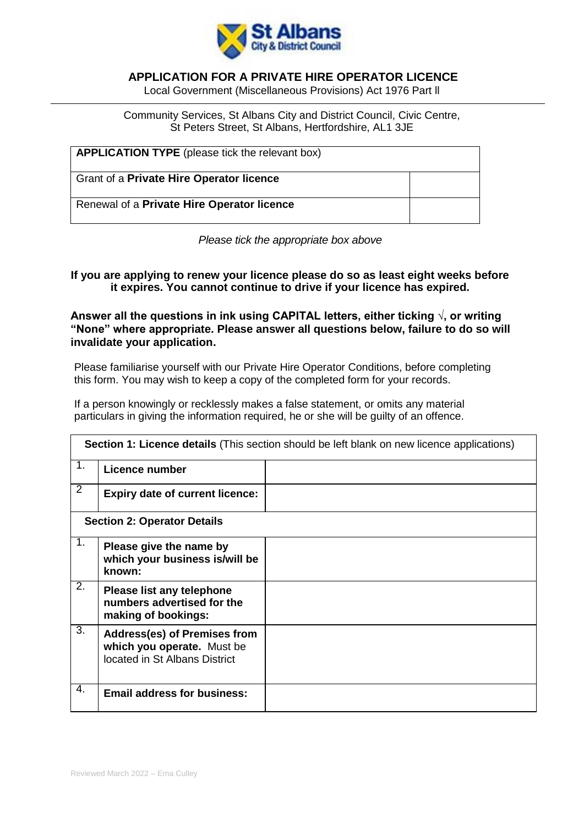

# **APPLICATION FOR A PRIVATE HIRE OPERATOR LICENCE**

Local Government (Miscellaneous Provisions) Act 1976 Part ll

Community Services, St Albans City and District Council, Civic Centre, St Peters Street, St Albans, Hertfordshire, AL1 3JE

| <b>APPLICATION TYPE</b> (please tick the relevant box) |  |
|--------------------------------------------------------|--|
| Grant of a Private Hire Operator licence               |  |
| Renewal of a Private Hire Operator licence             |  |

*Please tick the appropriate box above* 

# **If you are applying to renew your licence please do so as least eight weeks before it expires. You cannot continue to drive if your licence has expired.**

**Answer all the questions in ink using CAPITAL letters, either ticking √, or writing "None" where appropriate. Please answer all questions below, failure to do so will invalidate your application.**

Please familiarise yourself with our Private Hire Operator Conditions, before completing this form. You may wish to keep a copy of the completed form for your records.

If a person knowingly or recklessly makes a false statement, or omits any material particulars in giving the information required, he or she will be guilty of an offence.

| <b>Section 1: Licence details</b> (This section should be left blank on new licence applications) |                                                                                             |  |  |  |  |  |
|---------------------------------------------------------------------------------------------------|---------------------------------------------------------------------------------------------|--|--|--|--|--|
| 1.                                                                                                | Licence number                                                                              |  |  |  |  |  |
| $\overline{2}$                                                                                    | <b>Expiry date of current licence:</b>                                                      |  |  |  |  |  |
|                                                                                                   | <b>Section 2: Operator Details</b>                                                          |  |  |  |  |  |
| $\overline{1}$ .                                                                                  | Please give the name by<br>which your business is/will be<br>known:                         |  |  |  |  |  |
| 2.                                                                                                | <b>Please list any telephone</b><br>numbers advertised for the<br>making of bookings:       |  |  |  |  |  |
| 3.                                                                                                | Address(es) of Premises from<br>which you operate. Must be<br>located in St Albans District |  |  |  |  |  |
| 4.                                                                                                | <b>Email address for business:</b>                                                          |  |  |  |  |  |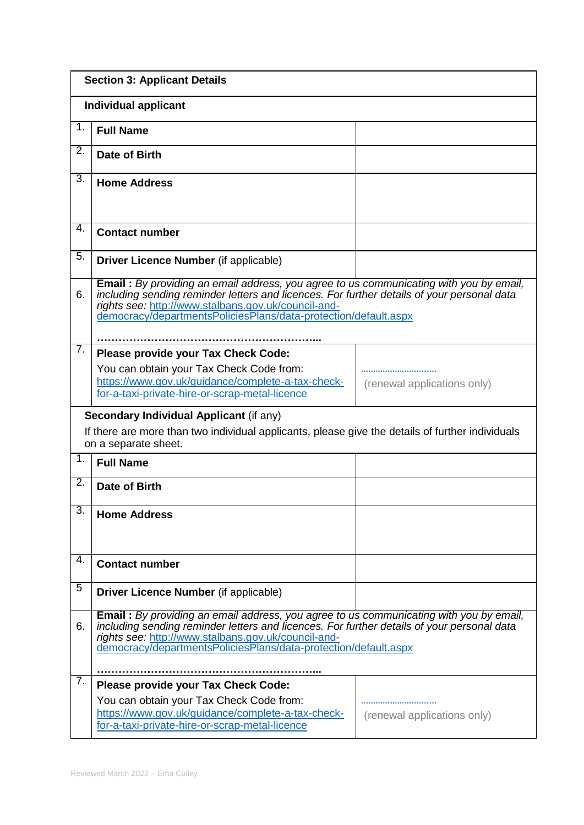| <b>Section 3: Applicant Details</b> |                                                                                                                                                                                                                                                                                                                |                             |  |  |
|-------------------------------------|----------------------------------------------------------------------------------------------------------------------------------------------------------------------------------------------------------------------------------------------------------------------------------------------------------------|-----------------------------|--|--|
|                                     | Individual applicant                                                                                                                                                                                                                                                                                           |                             |  |  |
| 1.                                  | <b>Full Name</b>                                                                                                                                                                                                                                                                                               |                             |  |  |
| 2.                                  | Date of Birth                                                                                                                                                                                                                                                                                                  |                             |  |  |
| 3.                                  | <b>Home Address</b>                                                                                                                                                                                                                                                                                            |                             |  |  |
| 4.                                  | <b>Contact number</b>                                                                                                                                                                                                                                                                                          |                             |  |  |
| 5.                                  | <b>Driver Licence Number</b> (if applicable)                                                                                                                                                                                                                                                                   |                             |  |  |
| 6.                                  | Email: By providing an email address, you agree to us communicating with you by email,<br>including sending reminder letters and licences. For further details of your personal data<br>rights see: http://www.stalbans.gov.uk/council-and-<br>democracy/departmentsPoliciesPlans/data-protection/default.aspx |                             |  |  |
| 7.                                  | Please provide your Tax Check Code:                                                                                                                                                                                                                                                                            |                             |  |  |
|                                     | You can obtain your Tax Check Code from:<br>https://www.gov.uk/guidance/complete-a-tax-check-<br>for-a-taxi-private-hire-or-scrap-metal-licence                                                                                                                                                                | (renewal applications only) |  |  |
|                                     | Secondary Individual Applicant (if any)                                                                                                                                                                                                                                                                        |                             |  |  |
|                                     | If there are more than two individual applicants, please give the details of further individuals<br>on a separate sheet.                                                                                                                                                                                       |                             |  |  |
| 1.                                  | <b>Full Name</b>                                                                                                                                                                                                                                                                                               |                             |  |  |
| 2.                                  | Date of Birth                                                                                                                                                                                                                                                                                                  |                             |  |  |
| 3.                                  | <b>Home Address</b>                                                                                                                                                                                                                                                                                            |                             |  |  |
| 4.                                  | <b>Contact number</b>                                                                                                                                                                                                                                                                                          |                             |  |  |
| 5                                   | <b>Driver Licence Number</b> (if applicable)                                                                                                                                                                                                                                                                   |                             |  |  |
| 6.                                  | Email: By providing an email address, you agree to us communicating with you by email,<br>including sending reminder letters and licences. For further details of your personal data<br>rights see: http://www.stalbans.gov.uk/council-and-<br>democracy/departmentsPoliciesPlans/data-protection/default.aspx |                             |  |  |
| 7.                                  | Please provide your Tax Check Code:                                                                                                                                                                                                                                                                            |                             |  |  |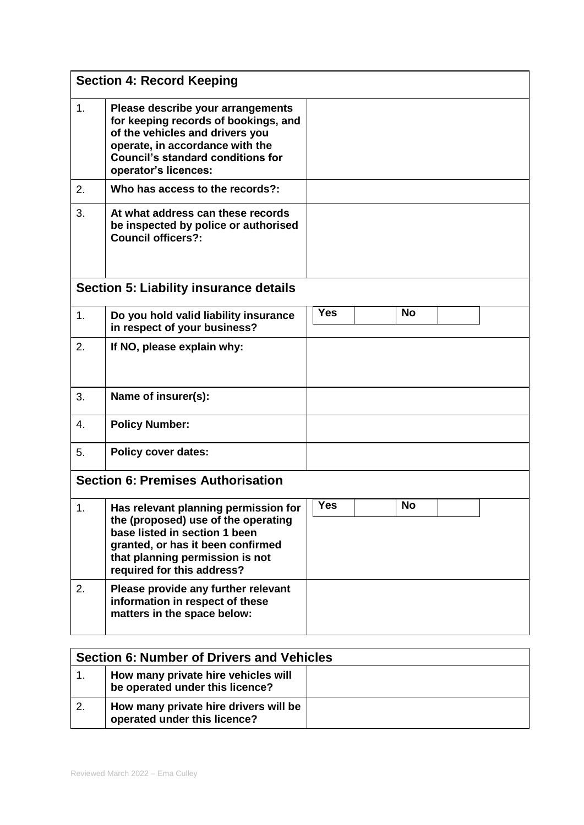| <b>Section 4: Record Keeping</b>         |                                                                                                                                                                                                                     |            |  |           |  |  |
|------------------------------------------|---------------------------------------------------------------------------------------------------------------------------------------------------------------------------------------------------------------------|------------|--|-----------|--|--|
| 1 <sub>1</sub>                           | Please describe your arrangements<br>for keeping records of bookings, and<br>of the vehicles and drivers you<br>operate, in accordance with the<br><b>Council's standard conditions for</b><br>operator's licences: |            |  |           |  |  |
| 2.                                       | Who has access to the records?:                                                                                                                                                                                     |            |  |           |  |  |
| 3.                                       | At what address can these records<br>be inspected by police or authorised<br><b>Council officers?:</b>                                                                                                              |            |  |           |  |  |
|                                          | <b>Section 5: Liability insurance details</b>                                                                                                                                                                       |            |  |           |  |  |
| 1.                                       | Do you hold valid liability insurance<br>in respect of your business?                                                                                                                                               | <b>Yes</b> |  | <b>No</b> |  |  |
| 2.                                       | If NO, please explain why:                                                                                                                                                                                          |            |  |           |  |  |
| 3.                                       | Name of insurer(s):                                                                                                                                                                                                 |            |  |           |  |  |
| 4.                                       | <b>Policy Number:</b>                                                                                                                                                                                               |            |  |           |  |  |
| 5.                                       | <b>Policy cover dates:</b>                                                                                                                                                                                          |            |  |           |  |  |
| <b>Section 6: Premises Authorisation</b> |                                                                                                                                                                                                                     |            |  |           |  |  |
| 1.                                       | Has relevant planning permission for<br>the (proposed) use of the operating<br>base listed in section 1 been<br>granted, or has it been confirmed<br>that planning permission is not<br>required for this address?  | Yes        |  | No        |  |  |
| 2.                                       | Please provide any further relevant<br>information in respect of these<br>matters in the space below:                                                                                                               |            |  |           |  |  |
|                                          |                                                                                                                                                                                                                     |            |  |           |  |  |

|    | <b>Section 6: Number of Drivers and Vehicles</b>                       |  |  |  |  |
|----|------------------------------------------------------------------------|--|--|--|--|
|    | How many private hire vehicles will<br>be operated under this licence? |  |  |  |  |
| 2. | How many private hire drivers will be<br>operated under this licence?  |  |  |  |  |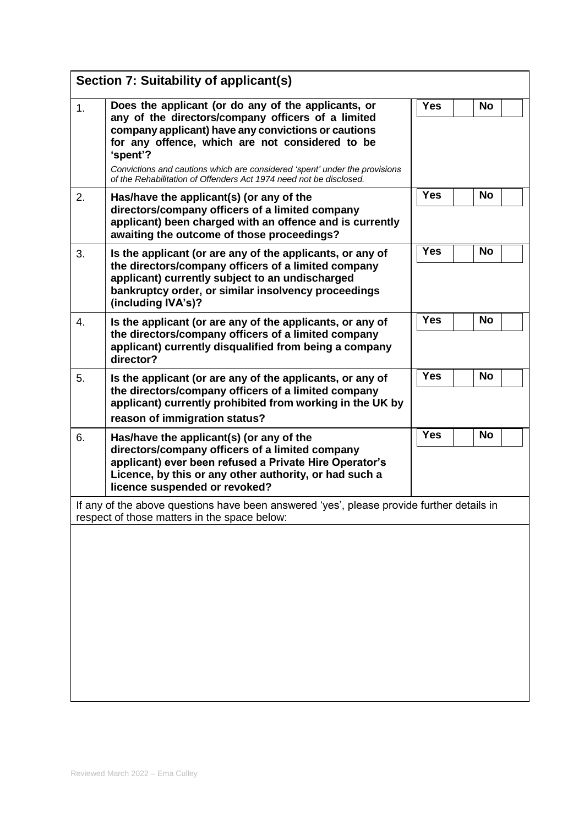|    | Section 7: Suitability of applicant(s)                                                                                                                                                                                                                                                                        |            |           |
|----|---------------------------------------------------------------------------------------------------------------------------------------------------------------------------------------------------------------------------------------------------------------------------------------------------------------|------------|-----------|
| 1. | Does the applicant (or do any of the applicants, or<br>any of the directors/company officers of a limited<br>company applicant) have any convictions or cautions<br>for any offence, which are not considered to be<br>'spent'?<br>Convictions and cautions which are considered 'spent' under the provisions | <b>Yes</b> | <b>No</b> |
|    | of the Rehabilitation of Offenders Act 1974 need not be disclosed.                                                                                                                                                                                                                                            | <b>Yes</b> | <b>No</b> |
| 2. | Has/have the applicant(s) (or any of the<br>directors/company officers of a limited company<br>applicant) been charged with an offence and is currently<br>awaiting the outcome of those proceedings?                                                                                                         |            |           |
| 3. | Is the applicant (or are any of the applicants, or any of<br>the directors/company officers of a limited company<br>applicant) currently subject to an undischarged<br>bankruptcy order, or similar insolvency proceedings<br>(including IVA's)?                                                              | <b>Yes</b> | <b>No</b> |
| 4. | Is the applicant (or are any of the applicants, or any of<br>the directors/company officers of a limited company<br>applicant) currently disqualified from being a company<br>director?                                                                                                                       | <b>Yes</b> | <b>No</b> |
| 5. | Is the applicant (or are any of the applicants, or any of<br>the directors/company officers of a limited company<br>applicant) currently prohibited from working in the UK by<br>reason of immigration status?                                                                                                | <b>Yes</b> | <b>No</b> |
| 6. | Has/have the applicant(s) (or any of the<br>directors/company officers of a limited company<br>applicant) ever been refused a Private Hire Operator's<br>Licence, by this or any other authority, or had such a<br>licence suspended or revoked?                                                              | <b>Yes</b> | <b>No</b> |
|    | If any of the above questions have been answered 'yes', please provide further details in<br>respect of those matters in the space below:                                                                                                                                                                     |            |           |
|    |                                                                                                                                                                                                                                                                                                               |            |           |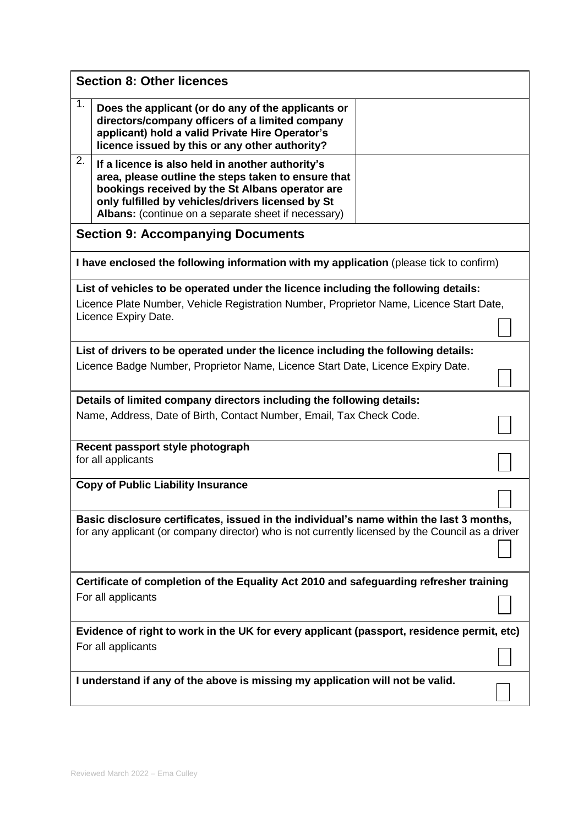| <b>Section 8: Other licences</b>                                                                                                                                                                                                                                                           |  |  |  |  |
|--------------------------------------------------------------------------------------------------------------------------------------------------------------------------------------------------------------------------------------------------------------------------------------------|--|--|--|--|
| 1.<br>Does the applicant (or do any of the applicants or<br>directors/company officers of a limited company<br>applicant) hold a valid Private Hire Operator's<br>licence issued by this or any other authority?                                                                           |  |  |  |  |
| $\overline{2}$ .<br>If a licence is also held in another authority's<br>area, please outline the steps taken to ensure that<br>bookings received by the St Albans operator are<br>only fulfilled by vehicles/drivers licensed by St<br>Albans: (continue on a separate sheet if necessary) |  |  |  |  |
| <b>Section 9: Accompanying Documents</b>                                                                                                                                                                                                                                                   |  |  |  |  |
| I have enclosed the following information with my application (please tick to confirm)                                                                                                                                                                                                     |  |  |  |  |
| List of vehicles to be operated under the licence including the following details:<br>Licence Plate Number, Vehicle Registration Number, Proprietor Name, Licence Start Date,<br>Licence Expiry Date.                                                                                      |  |  |  |  |
| List of drivers to be operated under the licence including the following details:<br>Licence Badge Number, Proprietor Name, Licence Start Date, Licence Expiry Date.                                                                                                                       |  |  |  |  |
| Details of limited company directors including the following details:                                                                                                                                                                                                                      |  |  |  |  |
| Name, Address, Date of Birth, Contact Number, Email, Tax Check Code.                                                                                                                                                                                                                       |  |  |  |  |
| Recent passport style photograph<br>for all applicants                                                                                                                                                                                                                                     |  |  |  |  |
| <b>Copy of Public Liability Insurance</b>                                                                                                                                                                                                                                                  |  |  |  |  |
| Basic disclosure certificates, issued in the individual's name within the last 3 months,<br>for any applicant (or company director) who is not currently licensed by the Council as a driver                                                                                               |  |  |  |  |
| Certificate of completion of the Equality Act 2010 and safeguarding refresher training                                                                                                                                                                                                     |  |  |  |  |
| For all applicants                                                                                                                                                                                                                                                                         |  |  |  |  |
| Evidence of right to work in the UK for every applicant (passport, residence permit, etc)                                                                                                                                                                                                  |  |  |  |  |
| For all applicants                                                                                                                                                                                                                                                                         |  |  |  |  |
| I understand if any of the above is missing my application will not be valid.                                                                                                                                                                                                              |  |  |  |  |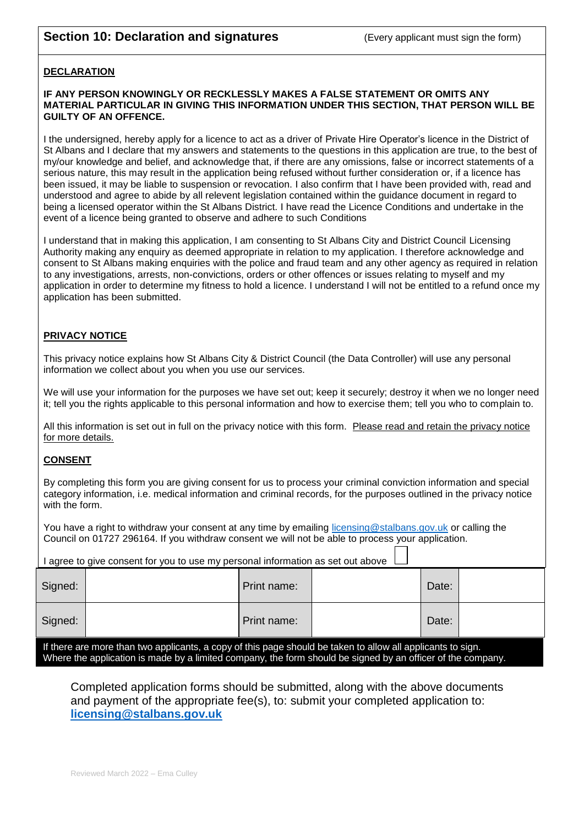## **DECLARATION**

#### **IF ANY PERSON KNOWINGLY OR RECKLESSLY MAKES A FALSE STATEMENT OR OMITS ANY MATERIAL PARTICULAR IN GIVING THIS INFORMATION UNDER THIS SECTION, THAT PERSON WILL BE GUILTY OF AN OFFENCE.**

I the undersigned, hereby apply for a licence to act as a driver of Private Hire Operator's licence in the District of St Albans and I declare that my answers and statements to the questions in this application are true, to the best of my/our knowledge and belief, and acknowledge that, if there are any omissions, false or incorrect statements of a serious nature, this may result in the application being refused without further consideration or, if a licence has been issued, it may be liable to suspension or revocation. I also confirm that I have been provided with, read and understood and agree to abide by all relevent legislation contained within the guidance document in regard to being a licensed operator within the St Albans District. I have read the Licence Conditions and undertake in the event of a licence being granted to observe and adhere to such Conditions

I understand that in making this application, I am consenting to St Albans City and District Council Licensing Authority making any enquiry as deemed appropriate in relation to my application. I therefore acknowledge and consent to St Albans making enquiries with the police and fraud team and any other agency as required in relation to any investigations, arrests, non-convictions, orders or other offences or issues relating to myself and my application in order to determine my fitness to hold a licence. I understand I will not be entitled to a refund once my application has been submitted.

## **PRIVACY NOTICE**

This privacy notice explains how St Albans City & District Council (the Data Controller) will use any personal information we collect about you when you use our services.

We will use your information for the purposes we have set out; keep it securely; destroy it when we no longer need it; tell you the rights applicable to this personal information and how to exercise them; tell you who to complain to.

All this information is set out in full on the privacy notice with this form. Please read and retain the privacy notice for more details.

## **CONSENT**

By completing this form you are giving consent for us to process your criminal conviction information and special category information, i.e. medical information and criminal records, for the purposes outlined in the privacy notice with the form

You have a right to withdraw your consent at any time by emailing [licensing@stalbans.gov.uk](mailto:licensing@stalbans.gov.uk) or calling the Council on 01727 296164. If you withdraw consent we will not be able to process your application.

| I agree to give consent for you to use my personal information as set out above                                                                                                                                            |  |             |  |       |  |  |
|----------------------------------------------------------------------------------------------------------------------------------------------------------------------------------------------------------------------------|--|-------------|--|-------|--|--|
| Signed:                                                                                                                                                                                                                    |  | Print name: |  | Date: |  |  |
| Signed:                                                                                                                                                                                                                    |  | Print name: |  | Date: |  |  |
| If there are more than two applicants, a copy of this page should be taken to allow all applicants to sign.<br>Where the application is made by a limited company, the form should be signed by an officer of the company. |  |             |  |       |  |  |

Completed application forms should be submitted, along with the above documents and payment of the appropriate fee(s), to: submit your completed application to: **[licensing@stalbans.gov.uk](mailto:licensing@stalbans.gov.uk)**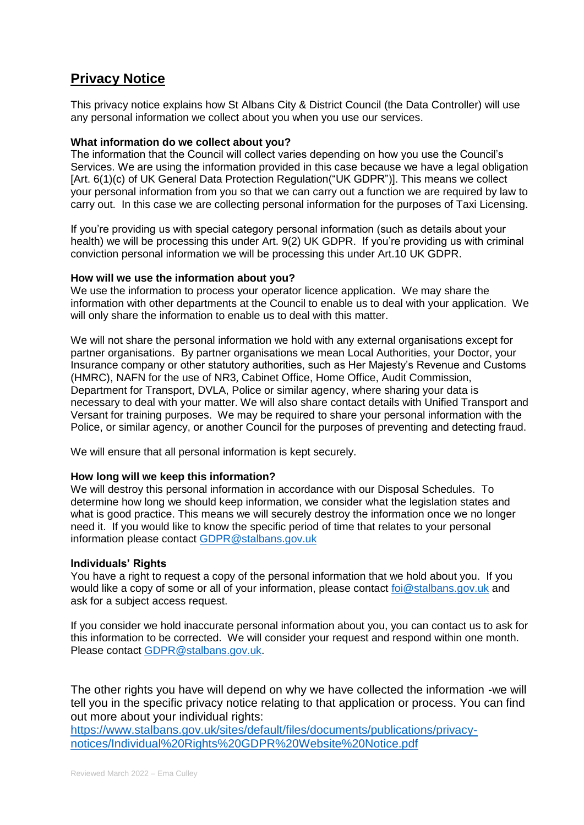# **Privacy Notice**

This privacy notice explains how St Albans City & District Council (the Data Controller) will use any personal information we collect about you when you use our services.

## **What information do we collect about you?**

The information that the Council will collect varies depending on how you use the Council's Services. We are using the information provided in this case because we have a legal obligation [Art. 6(1)(c) of UK General Data Protection Regulation("UK GDPR")]. This means we collect your personal information from you so that we can carry out a function we are required by law to carry out. In this case we are collecting personal information for the purposes of Taxi Licensing.

If you're providing us with special category personal information (such as details about your health) we will be processing this under Art. 9(2) UK GDPR. If you're providing us with criminal conviction personal information we will be processing this under Art.10 UK GDPR.

## **How will we use the information about you?**

We use the information to process your operator licence application. We may share the information with other departments at the Council to enable us to deal with your application. We will only share the information to enable us to deal with this matter.

We will not share the personal information we hold with any external organisations except for partner organisations. By partner organisations we mean Local Authorities, your Doctor, your Insurance company or other statutory authorities, such as Her Majesty's Revenue and Customs (HMRC), NAFN for the use of NR3*,* Cabinet Office, Home Office, Audit Commission, Department for Transport, DVLA, Police or similar agency, where sharing your data is necessary to deal with your matter. We will also share contact details with Unified Transport and Versant for training purposes. We may be required to share your personal information with the Police, or similar agency, or another Council for the purposes of preventing and detecting fraud.

We will ensure that all personal information is kept securely.

## **How long will we keep this information?**

We will destroy this personal information in accordance with our Disposal Schedules. To determine how long we should keep information, we consider what the legislation states and what is good practice. This means we will securely destroy the information once we no longer need it. If you would like to know the specific period of time that relates to your personal information please contact [GDPR@stalbans.gov.uk](mailto:GDPR@stalbans.gov.uk)

# **Individuals' Rights**

You have a right to request a copy of the personal information that we hold about you. If you would like a copy of some or all of your information, please contact [foi@stalbans.gov.uk](mailto:foi@stalbans.gov.uk) and ask for a subject access request.

If you consider we hold inaccurate personal information about you, you can contact us to ask for this information to be corrected. We will consider your request and respond within one month. Please contact [GDPR@stalbans.gov.uk.](mailto:GDPR@stalbans.gov.uk)

The other rights you have will depend on why we have collected the information -we will tell you in the specific privacy notice relating to that application or process. You can find out more about your individual rights:

[https://www.stalbans.gov.uk/sites/default/files/documents/publications/privacy](https://www.stalbans.gov.uk/sites/default/files/documents/publications/privacy-notices/Individual%20Rights%20GDPR%20Website%20Notice.pdf)[notices/Individual%20Rights%20GDPR%20Website%20Notice.pdf](https://www.stalbans.gov.uk/sites/default/files/documents/publications/privacy-notices/Individual%20Rights%20GDPR%20Website%20Notice.pdf)